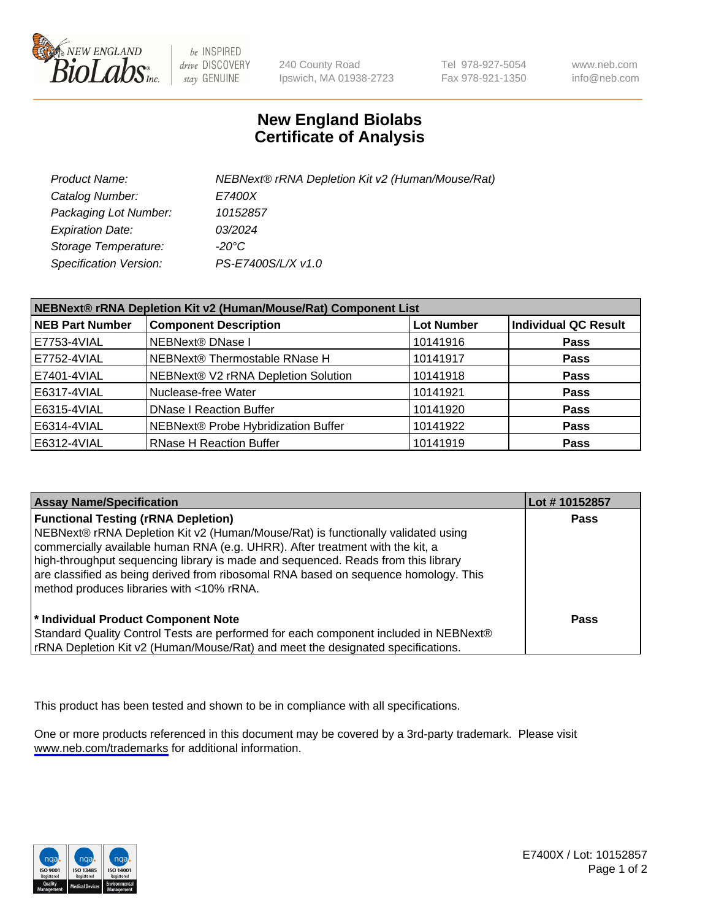

be INSPIRED drive DISCOVERY stay GENUINE

240 County Road Ipswich, MA 01938-2723 Tel 978-927-5054 Fax 978-921-1350

www.neb.com info@neb.com

## **New England Biolabs Certificate of Analysis**

| Product Name:                 | NEBNext® rRNA Depletion Kit v2 (Human/Mouse/Rat) |
|-------------------------------|--------------------------------------------------|
| Catalog Number:               | <i>E7400X</i>                                    |
| Packaging Lot Number:         | 10152857                                         |
| <b>Expiration Date:</b>       | 03/2024                                          |
| Storage Temperature:          | -20°C                                            |
| <b>Specification Version:</b> | PS-E7400S/L/X v1.0                               |

| NEBNext® rRNA Depletion Kit v2 (Human/Mouse/Rat) Component List |                                     |                   |                             |  |
|-----------------------------------------------------------------|-------------------------------------|-------------------|-----------------------------|--|
| <b>NEB Part Number</b>                                          | <b>Component Description</b>        | <b>Lot Number</b> | <b>Individual QC Result</b> |  |
| E7753-4VIAL                                                     | NEBNext® DNase I                    | 10141916          | <b>Pass</b>                 |  |
| E7752-4VIAL                                                     | NEBNext® Thermostable RNase H       | 10141917          | <b>Pass</b>                 |  |
| E7401-4VIAL                                                     | NEBNext® V2 rRNA Depletion Solution | 10141918          | <b>Pass</b>                 |  |
| E6317-4VIAL                                                     | Nuclease-free Water                 | 10141921          | <b>Pass</b>                 |  |
| E6315-4VIAL                                                     | <b>DNase I Reaction Buffer</b>      | 10141920          | <b>Pass</b>                 |  |
| E6314-4VIAL                                                     | NEBNext® Probe Hybridization Buffer | 10141922          | <b>Pass</b>                 |  |
| E6312-4VIAL                                                     | <b>RNase H Reaction Buffer</b>      | 10141919          | <b>Pass</b>                 |  |

| <b>Assay Name/Specification</b>                                                                                                                                                                                                                                                                                                                                                                                                          | Lot #10152857 |
|------------------------------------------------------------------------------------------------------------------------------------------------------------------------------------------------------------------------------------------------------------------------------------------------------------------------------------------------------------------------------------------------------------------------------------------|---------------|
| <b>Functional Testing (rRNA Depletion)</b><br>NEBNext® rRNA Depletion Kit v2 (Human/Mouse/Rat) is functionally validated using<br>commercially available human RNA (e.g. UHRR). After treatment with the kit, a<br>high-throughput sequencing library is made and sequenced. Reads from this library<br>are classified as being derived from ribosomal RNA based on sequence homology. This<br>method produces libraries with <10% rRNA. | <b>Pass</b>   |
| * Individual Product Component Note<br>Standard Quality Control Tests are performed for each component included in NEBNext®<br>rRNA Depletion Kit v2 (Human/Mouse/Rat) and meet the designated specifications.                                                                                                                                                                                                                           | Pass          |

This product has been tested and shown to be in compliance with all specifications.

One or more products referenced in this document may be covered by a 3rd-party trademark. Please visit <www.neb.com/trademarks>for additional information.